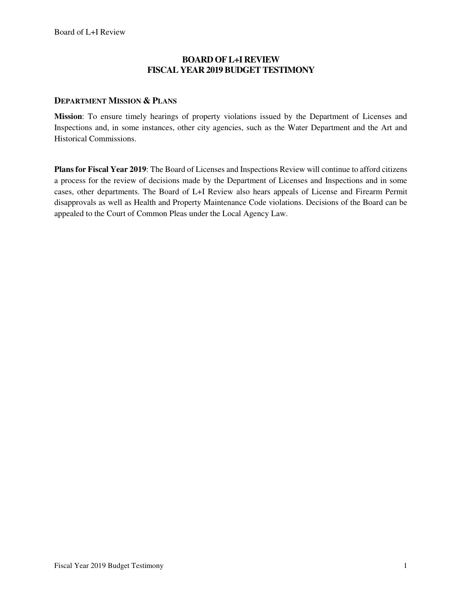## **BOARD OF L+I REVIEW FISCAL YEAR 2019 BUDGET TESTIMONY**

### **DEPARTMENT MISSION & PLANS**

**Mission**: To ensure timely hearings of property violations issued by the Department of Licenses and Inspections and, in some instances, other city agencies, such as the Water Department and the Art and Historical Commissions.

**Plans for Fiscal Year 2019**: The Board of Licenses and Inspections Review will continue to afford citizens a process for the review of decisions made by the Department of Licenses and Inspections and in some cases, other departments. The Board of L+I Review also hears appeals of License and Firearm Permit disapprovals as well as Health and Property Maintenance Code violations. Decisions of the Board can be appealed to the Court of Common Pleas under the Local Agency Law.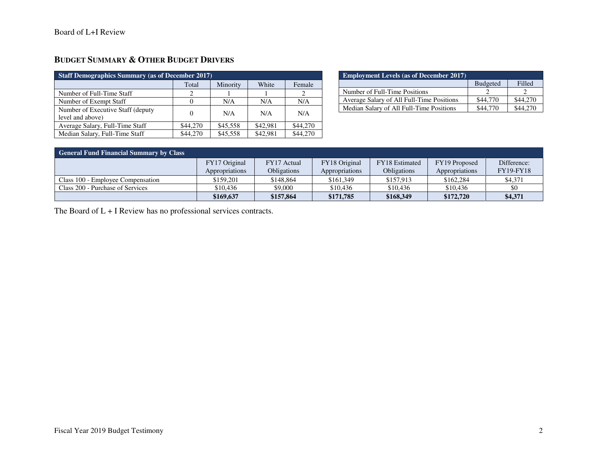| <b>Staff Demographics Summary (as of December 2017)</b> |          |          |          |          |  |  |
|---------------------------------------------------------|----------|----------|----------|----------|--|--|
|                                                         | Total    | Minority | White    | Female   |  |  |
| Number of Full-Time Staff                               | 2        |          |          |          |  |  |
| Number of Exempt Staff                                  | $\theta$ | N/A      | N/A      | N/A      |  |  |
| Number of Executive Staff (deputy)<br>level and above)  | $\Omega$ | N/A      | N/A      | N/A      |  |  |
| Average Salary, Full-Time Staff                         | \$44,270 | \$45,558 | \$42,981 | \$44,270 |  |  |
| Median Salary, Full-Time Staff                          | \$44,270 | \$45,558 | \$42,981 | \$44,270 |  |  |

| <b>Employment Levels (as of December 2017)</b> |                 |          |  |  |  |
|------------------------------------------------|-----------------|----------|--|--|--|
|                                                | <b>Budgeted</b> | Filled   |  |  |  |
| Number of Full-Time Positions                  |                 |          |  |  |  |
| Average Salary of All Full-Time Positions      | \$44,770        | \$44,270 |  |  |  |
| Median Salary of All Full-Time Positions       | \$44,770        |          |  |  |  |

| General Fund Financial Summary by Class |                |             |                |                       |                |                  |
|-----------------------------------------|----------------|-------------|----------------|-----------------------|----------------|------------------|
|                                         | FY17 Original  | FY17 Actual | FY18 Original  | <b>FY18</b> Estimated | FY19 Proposed  | Difference:      |
|                                         | Appropriations | Obligations | Appropriations | <b>Obligations</b>    | Appropriations | <b>FY19-FY18</b> |
| Class 100 - Employee Compensation       | \$159.201      | \$148,864   | \$161,349      | \$157,913             | \$162,284      | \$4,371          |
| Class 200 - Purchase of Services        | \$10,436       | \$9,000     | \$10.436       | \$10,436              | \$10,436       | \$0              |
|                                         | \$169,637      | \$157,864   | \$171,785      | \$168,349             | \$172,720      | \$4,371          |

The Board of L + I Review has no professional services contracts.

**BUDGET SUMMARY & OTHER BUDGET DRIVERS**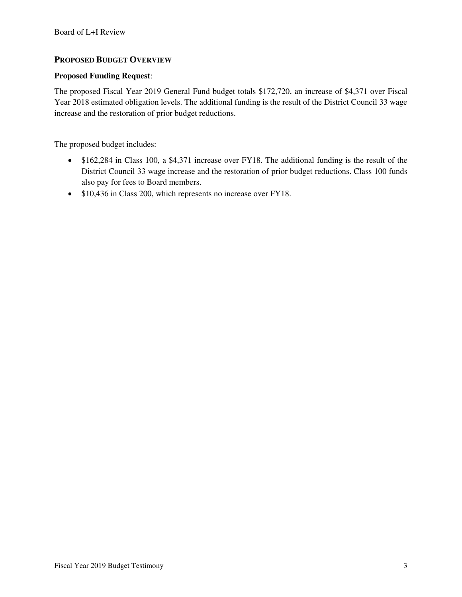## **PROPOSED BUDGET OVERVIEW**

#### **Proposed Funding Request**:

The proposed Fiscal Year 2019 General Fund budget totals \$172,720, an increase of \$4,371 over Fiscal Year 2018 estimated obligation levels. The additional funding is the result of the District Council 33 wage increase and the restoration of prior budget reductions.

The proposed budget includes:

- \$162,284 in Class 100, a \$4,371 increase over FY18. The additional funding is the result of the District Council 33 wage increase and the restoration of prior budget reductions. Class 100 funds also pay for fees to Board members.
- \$10,436 in Class 200, which represents no increase over FY18.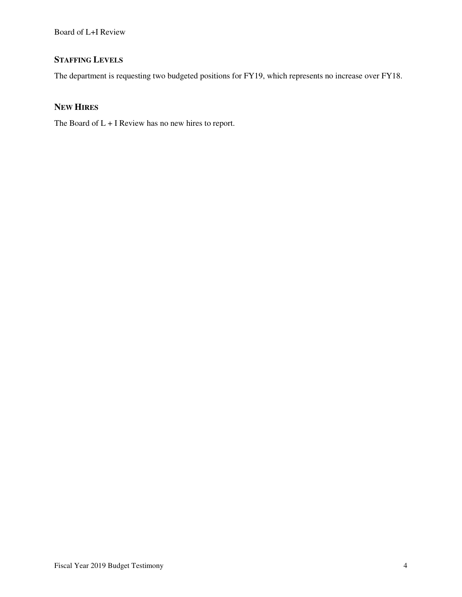# **STAFFING LEVELS**

The department is requesting two budgeted positions for FY19, which represents no increase over FY18.

## **NEW HIRES**

The Board of L + I Review has no new hires to report.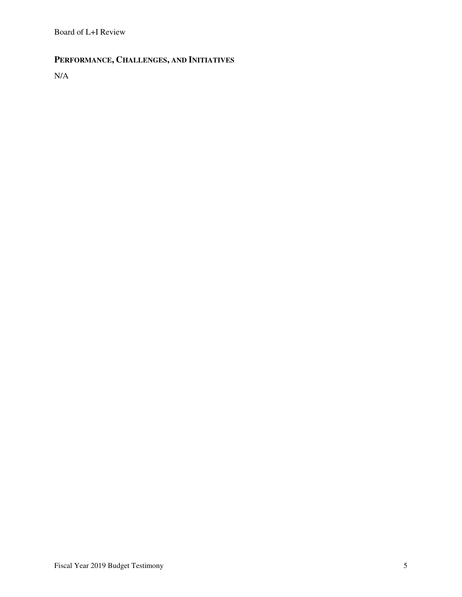# **PERFORMANCE, CHALLENGES, AND INITIATIVES**

N/A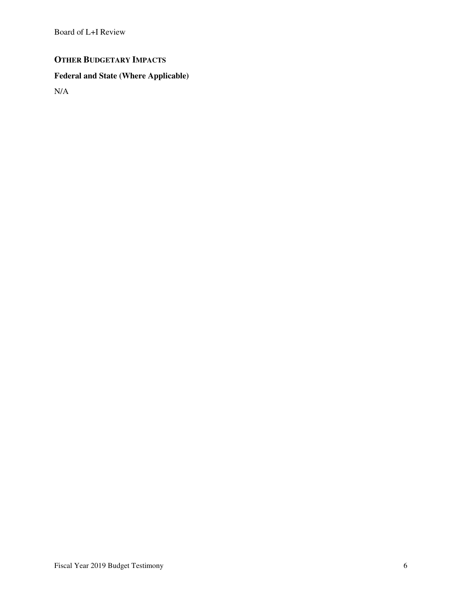## **OTHER BUDGETARY IMPACTS**

# **Federal and State (Where Applicable)**

N/A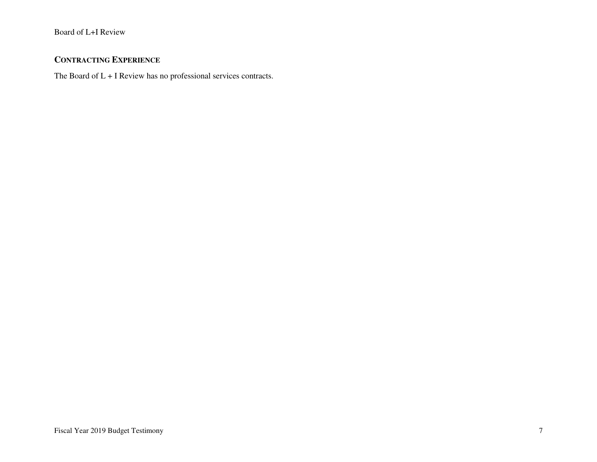## **CONTRACTING EXPERIENCE**

The Board of L + I Review has no professional services contracts.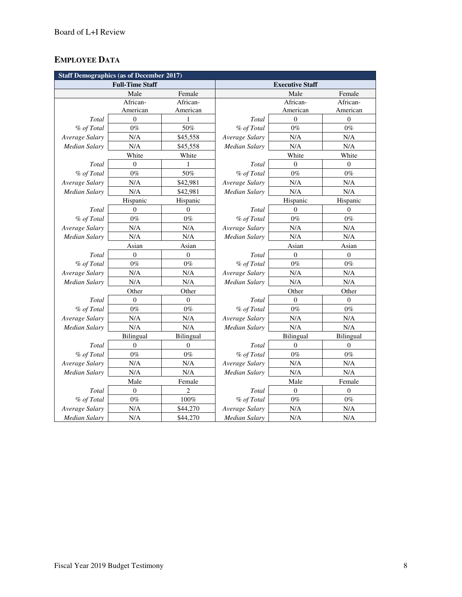## **EMPLOYEE DATA**

| <b>Staff Demographics (as of December 2017)</b> |                        |                  |                        |                  |                  |  |
|-------------------------------------------------|------------------------|------------------|------------------------|------------------|------------------|--|
|                                                 | <b>Full-Time Staff</b> |                  | <b>Executive Staff</b> |                  |                  |  |
|                                                 | Male                   | Female           |                        | Male             | Female           |  |
|                                                 | African-               | African-         |                        | African-         | African-         |  |
|                                                 | American               | American         |                        | American         | American         |  |
| Total                                           | $\overline{0}$         | 1                | Total                  | $\theta$         | $\theta$         |  |
| % of Total                                      | $0\%$                  | 50%              | % of Total             | $0\%$            | $0\%$            |  |
| Average Salary                                  | N/A                    | \$45,558         | Average Salary         | N/A              | N/A              |  |
| <b>Median Salary</b>                            | N/A                    | \$45,558         | Median Salary          | N/A              | N/A              |  |
|                                                 | White                  | White            |                        | White            | White            |  |
| Total                                           | $\overline{0}$         | 1                | Total                  | $\overline{0}$   | $\theta$         |  |
| % of Total                                      | $0\%$                  | 50%              | % of Total             | $0\%$            | $0\%$            |  |
| Average Salary                                  | N/A                    | \$42,981         | Average Salary         | N/A              | N/A              |  |
| Median Salary                                   | N/A                    | \$42,981         | Median Salary          | N/A              | N/A              |  |
|                                                 | Hispanic               | Hispanic         |                        | Hispanic         | Hispanic         |  |
| Total                                           | $\Omega$               | $\theta$         | Total                  | $\Omega$         | $\theta$         |  |
| % of Total                                      | $0\%$                  | $0\%$            | % of Total             | $0\%$            | $0\%$            |  |
| Average Salary                                  | N/A                    | N/A              | Average Salary         | N/A              | N/A              |  |
| <b>Median Salary</b>                            | N/A                    | N/A              | Median Salary          | N/A              | N/A              |  |
|                                                 | Asian                  | Asian            |                        | Asian            | Asian            |  |
| Total                                           | $\mathbf{0}$           | $\overline{0}$   | Total                  | $\mathbf{0}$     | $\theta$         |  |
| % of Total                                      | $0\%$                  | $0\%$            | % of Total             | $0\%$            | $0\%$            |  |
| Average Salary                                  | N/A                    | N/A              | Average Salary         | N/A              | N/A              |  |
| Median Salary                                   | N/A                    | N/A              | Median Salary          | N/A              | N/A              |  |
|                                                 | Other                  | Other            |                        | Other            |                  |  |
| Total                                           | $\theta$               | $\boldsymbol{0}$ | Total                  | $\theta$         | $\boldsymbol{0}$ |  |
| % of Total                                      | $0\%$                  | $0\%$            | % of Total             | $0\%$            | $0\%$            |  |
| Average Salary                                  | N/A                    | N/A              | Average Salary         | N/A              | N/A              |  |
| Median Salary                                   | N/A                    | N/A              | Median Salary          | N/A              | N/A              |  |
|                                                 | <b>Bilingual</b>       | <b>Bilingual</b> |                        | Bilingual        | <b>Bilingual</b> |  |
| Total                                           | $\boldsymbol{0}$       | $\boldsymbol{0}$ | Total                  | $\boldsymbol{0}$ | $\mathbf{0}$     |  |
| % of Total                                      | $0\%$                  | $0\%$            | % of Total             | $0\%$            | $0\%$            |  |
| Average Salary                                  | N/A                    | N/A              | Average Salary         | N/A              | N/A              |  |
| Median Salary                                   | N/A                    | N/A              | Median Salary          | N/A              | N/A              |  |
|                                                 | Male                   | Female           | Male                   |                  | Female           |  |
| Total                                           | $\boldsymbol{0}$       | 2                | Total                  | $\boldsymbol{0}$ | $\boldsymbol{0}$ |  |
| % of Total                                      | $0\%$                  | $100\%$          | % of Total             | $0\%$            | $0\%$            |  |
| Average Salary                                  | N/A                    | \$44,270         | Average Salary         | N/A              | N/A              |  |
| <b>Median Salary</b>                            | N/A                    | \$44,270         | <b>Median Salary</b>   | N/A              | N/A              |  |